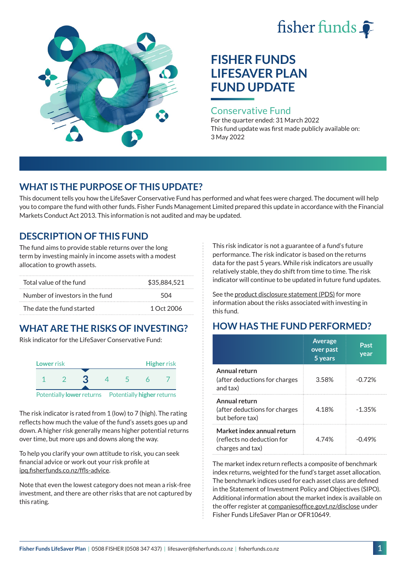# fisher funds



# **FISHER FUNDS LIFESAVER PLAN FUND UPDATE**

#### Conservative Fund

For the quarter ended: 31 March 2022 This fund update was first made publicly available on: 3 May 2022

## **WHAT IS THE PURPOSE OF THIS UPDATE?**

This document tells you how the LifeSaver Conservative Fund has performed and what fees were charged. The document will help you to compare the fund with other funds. Fisher Funds Management Limited prepared this update in accordance with the Financial Markets Conduct Act 2013. This information is not audited and may be updated.

## **DESCRIPTION OF THIS FUND**

The fund aims to provide stable returns over the long term by investing mainly in income assets with a modest allocation to growth assets.

| Total value of the fund         | \$35,884,521 |  |
|---------------------------------|--------------|--|
| Number of investors in the fund | 504          |  |
| The date the fund started       | 1 Oct 2006   |  |

# **WHAT ARE THE RISKS OF INVESTING?**

Risk indicator for the LifeSaver Conservative Fund:



The risk indicator is rated from 1 (low) to 7 (high). The rating reflects how much the value of the fund's assets goes up and down. A higher risk generally means higher potential returns over time, but more ups and downs along the way.

To help you clarify your own attitude to risk, you can seek financial advice or work out your risk profile at [ipq.fisherfunds.co.nz/ffls-advice](https://ipq.fisherfunds.co.nz/ffls-advice).

Note that even the lowest category does not mean a risk-free investment, and there are other risks that are not captured by this rating.

This risk indicator is not a guarantee of a fund's future performance. The risk indicator is based on the returns data for the past 5 years. While risk indicators are usually relatively stable, they do shift from time to time. The risk indicator will continue to be updated in future fund updates.

See the [product disclosure statement \(PDS\)](https://fisherfunds.co.nz/assets/PDS/Fisher-Funds-LifeSaver-Plan-PDS.pdf) for more information about the risks associated with investing in this fund.

## **HOW HAS THE FUND PERFORMED?**

|                                                                              | <b>Average</b><br>over past<br>5 years | Past<br>year |
|------------------------------------------------------------------------------|----------------------------------------|--------------|
| Annual return<br>(after deductions for charges<br>and tax)                   | 3.58%                                  | $-0.72\%$    |
| Annual return<br>(after deductions for charges<br>but before tax)            | 4.18%                                  | $-1.35%$     |
| Market index annual return<br>(reflects no deduction for<br>charges and tax) | 4 74%                                  | -049%        |

The market index return reflects a composite of benchmark index returns, weighted for the fund's target asset allocation. The benchmark indices used for each asset class are defined in the Statement of Investment Policy and Objectives (SIPO). Additional information about the market index is available on the offer register at [companiesoffice.govt.nz/disclose](http://companiesoffice.govt.nz/disclose) under Fisher Funds LifeSaver Plan or OFR10649.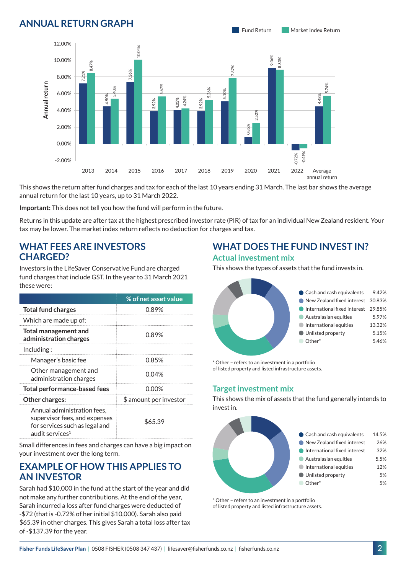## **ANNUAL RETURN GRAPH**



This shows the return after fund charges and tax for each of the last 10 years ending 31 March. The last bar shows the average annual return for the last 10 years, up to 31 March 2022.

**Important:** This does not tell you how the fund will perform in the future.

Returns in this update are after tax at the highest prescribed investor rate (PIR) of tax for an individual New Zealand resident. Your tax may be lower. The market index return reflects no deduction for charges and tax.

#### **WHAT FEES ARE INVESTORS CHARGED?**

Investors in the LifeSaver Conservative Fund are charged fund charges that include GST. In the year to 31 March 2021 these were:

|                                                                                                                               | % of net asset value   |  |
|-------------------------------------------------------------------------------------------------------------------------------|------------------------|--|
| <b>Total fund charges</b>                                                                                                     | 0.89%                  |  |
| Which are made up of:                                                                                                         |                        |  |
| <b>Total management and</b><br>administration charges                                                                         | 0.89%                  |  |
| Including:                                                                                                                    |                        |  |
| Manager's basic fee                                                                                                           | 0.85%                  |  |
| Other management and<br>administration charges                                                                                | 0.04%                  |  |
| <b>Total performance-based fees</b>                                                                                           | $0.00\%$               |  |
| Other charges:                                                                                                                | \$ amount per investor |  |
| Annual administration fees,<br>supervisor fees, and expenses<br>for services such as legal and<br>audit services <sup>1</sup> | \$65.39                |  |

Small differences in fees and charges can have a big impact on your investment over the long term.

#### **EXAMPLE OF HOW THIS APPLIES TO AN INVESTOR**

Sarah had \$10,000 in the fund at the start of the year and did not make any further contributions. At the end of the year, Sarah incurred a loss after fund charges were deducted of -\$72 (that is -0.72% of her initial \$10,000). Sarah also paid \$65.39 in other charges. This gives Sarah a total loss after tax of -\$137.39 for the year.

#### **WHAT DOES THE FUND INVEST IN? Actual investment mix**

This shows the types of assets that the fund invests in.



\* Other – refers to an investment in a portfolio of listed property and listed infrastructure assets.

#### **Target investment mix**

This shows the mix of assets that the fund generally intends to invest in.



\* Other – refers to an investment in a portfolio of listed property and listed infrastructure assets.